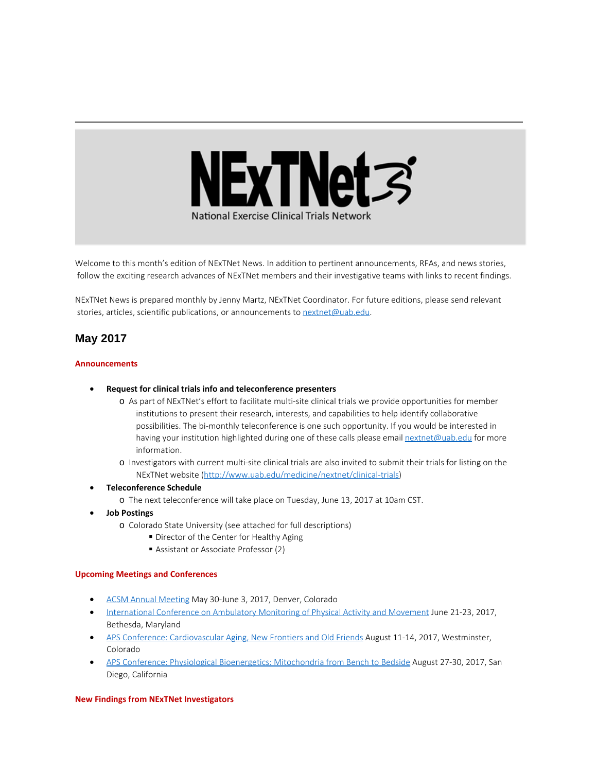

Welcome to this month's edition of NExTNet News. In addition to pertinent announcements, RFAs, and news stories, follow the exciting research advances of NExTNet members and their investigative teams with links to recent findings.

NExTNet News is prepared monthly by Jenny Martz, NExTNet Coordinator. For future editions, please send relevant stories, articles, scientific publications, or announcements to [nextnet@uab.edu](mailto:nextnet@uab.edu).

# **May 2017**

### **Announcements**

### · **Request for clinical trials info and teleconference presenters**

- o As part of NExTNet's effort to facilitate multi-site clinical trials we provide opportunities for member institutions to present their research, interests, and capabilities to help identify collaborative possibilities. The bi-monthly teleconference is one such opportunity. If you would be interested in having your institution highlighted during one of these calls please email [nextnet@uab.edu](mailto:nextnet@uab.edu) for more information.
- o Investigators with current multi-site clinical trials are also invited to submit their trials for listing on the NExTNet website [\(http://www.uab.edu/medicine/nextnet/clinical-trials](http://www.uab.edu/medicine/nextnet/clinical-trials))
- · **Teleconference Schedule**
	- o The next teleconference will take place on Tuesday, June 13, 2017 at 10am CST.
- · **Job Postings**
	- o Colorado State University (see attached for full descriptions)
		- Director of the Center for Healthy Aging
		- Assistant or Associate Professor (2)

### **Upcoming Meetings and Conferences**

- [ACSM Annual Meeting](http://www.acsm.org/attend-a-meeting/annual-meeting) May 30-June 3, 2017, Denver, Colorado
- [International Conference on Ambulatory Monitoring of Physical Activity and Movement](http://www.ismpb.org/program/) June 21-23, 2017, Bethesda, Maryland
- · [APS Conference: Cardiovascular Aging, New Frontiers and Old Friends](http://www.the-aps.org/mm/Conferences/APS-Conferences/2017-Conferences/CV-Aging) August 11-14, 2017, Westminster, Colorado
- · [APS Conference: Physiological Bioenergetics: Mitochondria from Bench to Bedside](http://www.the-aps.org/mm/Conferences/APS-Conferences/2017-Conferences/Bioenergetics) August 27-30, 2017, San Diego, California

### **New Findings from NExTNet Investigators**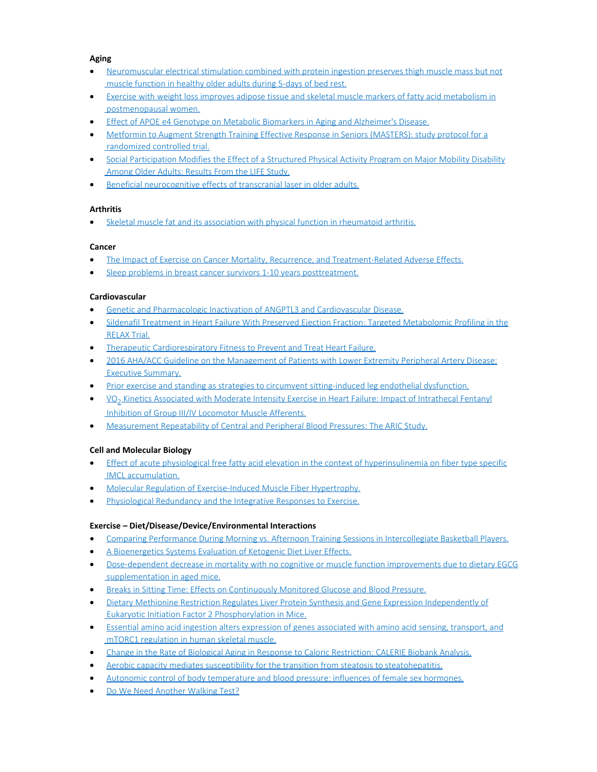### **Aging**

- · [Neuromuscular electrical stimulation combined with protein ingestion preserves thigh muscle mass but not](https://www.ncbi.nlm.nih.gov/pubmed/28482746)  [muscle function in healthy older adults during 5-days of bed rest.](https://www.ncbi.nlm.nih.gov/pubmed/28482746)
- [Exercise with weight loss improves adipose tissue and skeletal muscle markers of fatty acid metabolism in](https://www.ncbi.nlm.nih.gov/pubmed/28547918)  [postmenopausal women.](https://www.ncbi.nlm.nih.gov/pubmed/28547918)
- · [Effect of APOE e4 Genotype on Metabolic Biomarkers in Aging and Alzheimer's Disease.](https://www.ncbi.nlm.nih.gov/pubmed/28550261)
- · [Metformin to Augment Strength Training Effective Response in Seniors \(MASTERS\): study protocol for a](https://www.ncbi.nlm.nih.gov/pubmed/28441958)  [randomized controlled trial.](https://www.ncbi.nlm.nih.gov/pubmed/28441958)
- [Social Participation Modifies the Effect of a Structured Physical Activity Program on Major Mobility Disability](https://www.ncbi.nlm.nih.gov/pubmed/28482106)  [Among Older Adults: Results From the LIFE Study.](https://www.ncbi.nlm.nih.gov/pubmed/28482106)
- · [Beneficial neurocognitive effects of transcranial laser in older adults.](https://www.ncbi.nlm.nih.gov/pubmed/28466195)

# **Arthritis**

· [Skeletal muscle fat and its association with physical function in rheumatoid arthritis.](https://www.ncbi.nlm.nih.gov/pubmed/28482146)

# **Cancer**

- · [The Impact of Exercise on Cancer Mortality, Recurrence, and Treatment-Related Adverse Effects.](http://www.ncbi.nlm.nih.gov/pubmed/28453622)
- [Sleep problems in breast cancer survivors 1-10 years posttreatment.](https://www.ncbi.nlm.nih.gov/pubmed/28508735)

# **Cardiovascular**

- · [Genetic and Pharmacologic Inactivation of ANGPTL3 and Cardiovascular Disease.](https://www.ncbi.nlm.nih.gov/pubmed/28538136)
- [Sildenafil Treatment in Heart Failure With Preserved Ejection Fraction: Targeted Metabolomic Profiling in the](https://www.ncbi.nlm.nih.gov/pubmed/28492915)  [RELAX Trial.](https://www.ncbi.nlm.nih.gov/pubmed/28492915)
- · [Therapeutic Cardiorespiratory Fitness to](https://www.ncbi.nlm.nih.gov/pubmed/28396039) Prevent and Treat Heart Failure.
- · [2016 AHA/ACC Guideline on the Management of Patients with Lower Extremity Peripheral Artery Disease:](https://www.ncbi.nlm.nih.gov/pubmed/28494710)  [Executive Summary.](https://www.ncbi.nlm.nih.gov/pubmed/28494710)
- · [Prior exercise and standing as strategies to circumvent sitting-induced leg endothelial dysfunction.](https://www.ncbi.nlm.nih.gov/pubmed/28385735)
- · V̇O2 [Kinetics Associated with Moderate Intensity Exercise in Heart Failure: Impact of Intrathecal Fentanyl](https://www.ncbi.nlm.nih.gov/pubmed/28476919)  [Inhibition of Group III/IV Locomotor Muscle Afferents.](https://www.ncbi.nlm.nih.gov/pubmed/28476919)
- · [Measurement Repeatability of Central and Peripheral Blood Pressures: The ARIC Study.](https://www.ncbi.nlm.nih.gov/pubmed/28531255)

# **Cell and Molecular Biology**

- [Effect of acute physiological free fatty acid elevation in the context of hyperinsulinemia on fiber type specific](https://www.ncbi.nlm.nih.gov/pubmed/28450549)  [IMCL accumulation.](https://www.ncbi.nlm.nih.gov/pubmed/28450549)
- [Molecular Regulation of Exercise-Induced Muscle Fiber Hypertrophy.](https://www.ncbi.nlm.nih.gov/pubmed/28490543)
- [Physiological Redundancy and the Integrative Responses to Exercise.](https://www.ncbi.nlm.nih.gov/pubmed/28490539)

# **Exercise – Diet/Disease/Device/Environmental Interactions**

- · [Comparing Performance During Morning vs. Afternoon Training Sessions in Intercollegiate Basketball Players.](https://www.ncbi.nlm.nih.gov/pubmed/28538305)
- [A Bioenergetics Systems Evaluation of Ketogenic Diet Liver Effects.](https://www.ncbi.nlm.nih.gov/pubmed/28514599)
- [Dose-dependent decrease in mortality with no cognitive or muscle function improvements due to dietary EGCG](https://www.ncbi.nlm.nih.gov/pubmed/28177724)  [supplementation in aged mice.](https://www.ncbi.nlm.nih.gov/pubmed/28177724)
- · [Breaks in Sitting Time: Effects on Continuously Monitored Glucose and Blood Pressure.](https://www.ncbi.nlm.nih.gov/pubmed/28514264)
- · [Dietary Methionine Restriction Regulates Liver Protein Synthesis and Gene Expression Independently of](https://www.ncbi.nlm.nih.gov/pubmed/28446632)  [Eukaryotic Initiation Factor 2 Phosphorylation in Mice.](https://www.ncbi.nlm.nih.gov/pubmed/28446632)
- · [Essential amino acid ingestion alters expression of genes associated with amino acid sensing, transport, and](https://www.ncbi.nlm.nih.gov/pubmed/28503190)  [mTORC1 regulation in human skeletal muscle.](https://www.ncbi.nlm.nih.gov/pubmed/28503190)
- · [Change in the Rate of Biological Aging in Response to Caloric Restriction: CALERIE Biobank Analysis.](https://www.ncbi.nlm.nih.gov/pubmed/28531269)
- · [Aerobic capacity mediates susceptibility for the transition from steatosis to steatohepatitis.](https://www.ncbi.nlm.nih.gov/pubmed/28504310)
- · [Autonomic control of body temperature and blood pressure: influences of female sex hormones.](https://www.ncbi.nlm.nih.gov/pubmed/28488202)
- · [Do We Need Another Walking Test?](https://www.ncbi.nlm.nih.gov/pubmed/28501526)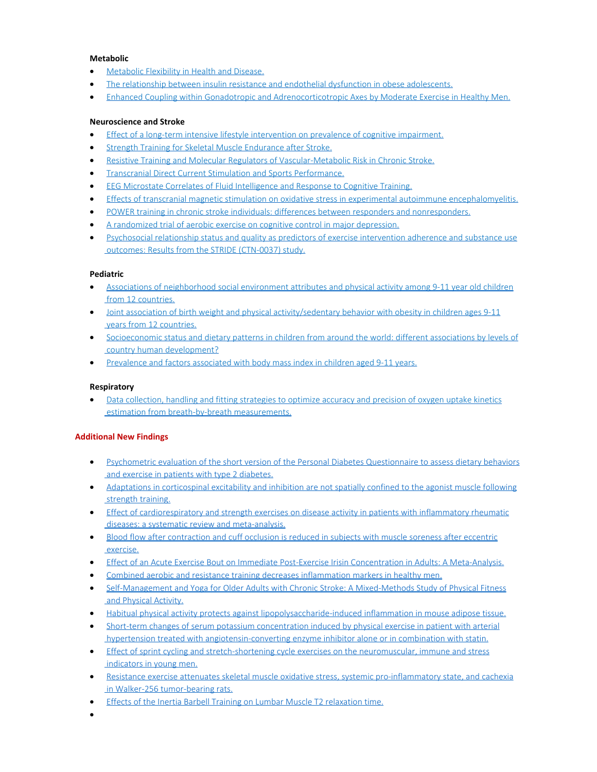### **Metabolic**

- · [Metabolic Flexibility in Health and Disease.](https://www.ncbi.nlm.nih.gov/pubmed/28467922)
- [The relationship between insulin resistance and endothelial dysfunction in obese adolescents.](https://www.ncbi.nlm.nih.gov/pubmed/28525354)
- [Enhanced Coupling within Gonadotropic and Adrenocorticotropic Axes by Moderate Exercise in Healthy Men.](https://www.ncbi.nlm.nih.gov/pubmed/28453740)

### **Neuroscience and Stroke**

- [Effect of a long-term intensive lifestyle intervention on prevalence of cognitive impairment.](https://www.ncbi.nlm.nih.gov/pubmed/28446656)
- [Strength Training for Skeletal Muscle Endurance after Stroke.](https://www.ncbi.nlm.nih.gov/pubmed/27865696)
- · [Resistive Training and Molecular Regulators of Vascular-Metabolic Risk in Chronic Stroke.](https://www.ncbi.nlm.nih.gov/pubmed/27955950)
- · [Transcranial Direct Current Stimulation and Sports Performance.](https://www.ncbi.nlm.nih.gov/pubmed/28539880)
- · [EEG Microstate Correlates of Fluid Intelligence and Response to Cognitive Training.](https://www.ncbi.nlm.nih.gov/pubmed/28493012)
- · [Effects of transcranial magnetic stimulation on oxidative stress in experimental autoimmune encephalomyelitis.](https://www.ncbi.nlm.nih.gov/pubmed/28463090)
- · [POWER training in chronic stroke individuals: differences between responders and nonresponders.](https://www.ncbi.nlm.nih.gov/pubmed/28482762)
- · [A randomized trial of aerobic exercise on cognitive control in major depression.](https://www.ncbi.nlm.nih.gov/pubmed/28402866)
- [Psychosocial relationship status and quality as predictors of exercise intervention adherence and substance use](https://www.ncbi.nlm.nih.gov/pubmed/28525788)  [outcomes: Results from the STRIDE \(CTN-0037\) study.](https://www.ncbi.nlm.nih.gov/pubmed/28525788)

# **Pediatric**

- [Associations of neighborhood social environment attributes and physical activity among 9-11 year old children](https://www.ncbi.nlm.nih.gov/pubmed/28544991)  [from 12 countries.](https://www.ncbi.nlm.nih.gov/pubmed/28544991)
- · [Joint association of birth weight and physical activity/sedentary behavior with obesity in children ages 9-11](https://www.ncbi.nlm.nih.gov/pubmed/28544795)  [years from 12 countries.](https://www.ncbi.nlm.nih.gov/pubmed/28544795)
- · [Socioeconomic status and dietary patterns in children from around the world: different associations by levels of](https://www.ncbi.nlm.nih.gov/pubmed/28511721)  [country human development?](https://www.ncbi.nlm.nih.gov/pubmed/28511721)
- · [Prevalence and factors associated with body mass index in children aged 9-11 years.](https://www.ncbi.nlm.nih.gov/pubmed/28506666)

# **Respiratory**

[Data collection, handling and fitting strategies to optimize accuracy and precision of oxygen uptake kinetics](https://www.ncbi.nlm.nih.gov/pubmed/28450551)  [estimation from breath-by-breath measurements.](https://www.ncbi.nlm.nih.gov/pubmed/28450551)

# **Additional New Findings**

- · [Psychometric evaluation of the short version of the Personal Diabetes Questionnaire to assess dietary behaviors](http://www.ncbi.nlm.nih.gov/pubmed/28456108)  [and exercise in patients with type 2 diabetes.](http://www.ncbi.nlm.nih.gov/pubmed/28456108)
- · [Adaptations in corticospinal excitability and inhibition are not spatially confined to the agonist muscle following](http://www.ncbi.nlm.nih.gov/pubmed/28455814) strength training.
- · [Effect of cardiorespiratory and strength exercises on disease activity in patients with inflammatory rheumatic](http://www.ncbi.nlm.nih.gov/pubmed/28455366)  [diseases: a systematic review and meta-analysis.](http://www.ncbi.nlm.nih.gov/pubmed/28455366)
- · [Blood flow after contraction and cuff occlusion is reduced in subjects with muscle soreness after eccentric](http://www.ncbi.nlm.nih.gov/pubmed/28453899)  [exercise.](http://www.ncbi.nlm.nih.gov/pubmed/28453899)
- · [Effect of an Acute Exercise Bout on Immediate Post-Exercise Irisin Concentration in Adults: A Meta-Analysis.](http://www.ncbi.nlm.nih.gov/pubmed/28453881)
- · [Combined aerobic and resistance training decreases inflammation markers in healthy men.](http://www.ncbi.nlm.nih.gov/pubmed/28453868)
- · [Self-Management and Yoga for Older Adults with Chronic Stroke: A Mixed-Methods Study of Physical Fitness](http://www.ncbi.nlm.nih.gov/pubmed/28452644)  [and Physical Activity.](http://www.ncbi.nlm.nih.gov/pubmed/28452644)
- · [Habitual physical activity protects against lipopolysaccharide-induced inflammation in mouse adipose tissue.](http://www.ncbi.nlm.nih.gov/pubmed/28452590)
- · [Short-term changes of serum potassium concentration induced by physical exercise in patient with arterial](http://www.ncbi.nlm.nih.gov/pubmed/28456777)  [hypertension treated with angiotensin-converting enzyme inhibitor alone or in combination with statin.](http://www.ncbi.nlm.nih.gov/pubmed/28456777)
- · [Effect of sprint cycling and stretch-shortening cycle exercises on the neuromuscular, immune and stress](http://www.ncbi.nlm.nih.gov/pubmed/28456776)  [indicators in young men.](http://www.ncbi.nlm.nih.gov/pubmed/28456776)
- · [Resistance exercise attenuates skeletal muscle oxidative stress, systemic pro-inflammatory state, and cachexia](http://www.ncbi.nlm.nih.gov/pubmed/28475846)  [in Walker-256 tumor-bearing rats.](http://www.ncbi.nlm.nih.gov/pubmed/28475846)
- · [Effects of the Inertia Barbell Training on Lumbar Muscle T2 relaxation time.](http://www.ncbi.nlm.nih.gov/pubmed/28475549)
- ·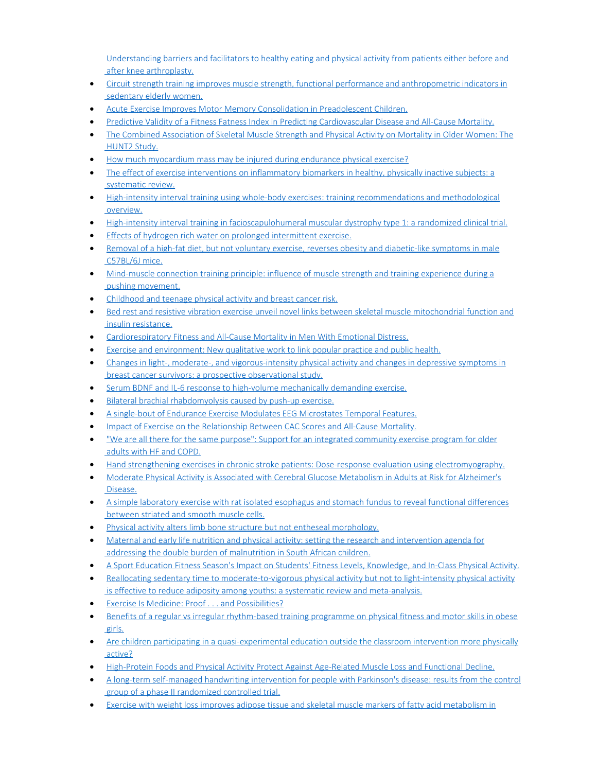[Understanding barriers and facilitators to healthy eating and physical activity from patients either before and](http://www.ncbi.nlm.nih.gov/pubmed/28475433)  [after knee arthroplasty.](http://www.ncbi.nlm.nih.gov/pubmed/28475433)

- · [Circuit strength training improves muscle strength, functional performance and anthropometric indicators in](http://www.ncbi.nlm.nih.gov/pubmed/28474873)  [sedentary elderly women.](http://www.ncbi.nlm.nih.gov/pubmed/28474873)
- · [Acute Exercise Improves Motor Memory Consolidation in Preadolescent Children.](http://www.ncbi.nlm.nih.gov/pubmed/28473761)
- · [Predictive Validity of a Fitness Fatness Index in Predicting Cardiovascular Disease and All-Cause Mortality.](http://www.ncbi.nlm.nih.gov/pubmed/28473044)
- · [The Combined Association of Skeletal Muscle Strength and Physical Activity on Mortality in Older Women: The](http://www.ncbi.nlm.nih.gov/pubmed/28473035)  [HUNT2 Study.](http://www.ncbi.nlm.nih.gov/pubmed/28473035)
- · [How much myocardium mass may be injured during endurance physical exercise?](http://www.ncbi.nlm.nih.gov/pubmed/28472726)
- [The effect of exercise interventions on inflammatory biomarkers in healthy, physically inactive subjects: a](http://www.ncbi.nlm.nih.gov/pubmed/28472518)  [systematic review.](http://www.ncbi.nlm.nih.gov/pubmed/28472518)
- · [High-intensity interval training using whole-body exercises: training recommendations and methodological](http://www.ncbi.nlm.nih.gov/pubmed/28471050)  [overview.](http://www.ncbi.nlm.nih.gov/pubmed/28471050)
- · [High-intensity interval training in facioscapulohumeral muscular dystrophy type 1: a randomized clinical trial.](http://www.ncbi.nlm.nih.gov/pubmed/28470591)
- [Effects of hydrogen rich water on prolonged intermittent exercise.](http://www.ncbi.nlm.nih.gov/pubmed/28474871)
- · [Removal of a high-fat diet, but not voluntary exercise, reverses obesity and diabetic-like symptoms in male](http://www.ncbi.nlm.nih.gov/pubmed/28500829)  [C57BL/6J mice.](http://www.ncbi.nlm.nih.gov/pubmed/28500829)
- · [Mind-muscle connection training principle: influence of muscle strength and training experience during a](http://www.ncbi.nlm.nih.gov/pubmed/28500415)  [pushing movement.](http://www.ncbi.nlm.nih.gov/pubmed/28500415)
- · [Childhood and teenage physical activity and breast cancer risk.](http://www.ncbi.nlm.nih.gov/pubmed/28500399)
- [Bed rest and resistive vibration exercise unveil novel links between skeletal muscle mitochondrial function and](http://www.ncbi.nlm.nih.gov/pubmed/28500394)  [insulin resistance.](http://www.ncbi.nlm.nih.gov/pubmed/28500394)
- · [Cardiorespiratory Fitness and All-Cause Mortality in Men With Emotional Distress.](http://www.ncbi.nlm.nih.gov/pubmed/28499513)
- [Exercise and environment: New qualitative work to link popular practice and public health.](http://www.ncbi.nlm.nih.gov/pubmed/28499470)
- · [Changes in light-, moderate-, and vigorous-intensity physical activity and changes in depressive symptoms in](http://www.ncbi.nlm.nih.gov/pubmed/28497387)  [breast cancer survivors: a prospective observational study.](http://www.ncbi.nlm.nih.gov/pubmed/28497387)
- · [Serum BDNF and IL-6 response to high-volume mechanically demanding exercise.](http://www.ncbi.nlm.nih.gov/pubmed/28500647)
- · [Bilateral brachial rhabdomyolysis caused by push-up exercise.](http://www.ncbi.nlm.nih.gov/pubmed/28500110)
- [A single-bout of Endurance Exercise Modulates EEG Microstates Temporal Features.](http://www.ncbi.nlm.nih.gov/pubmed/28528447)
- · [Impact of Exercise on the Relationship Between CAC Scores](http://www.ncbi.nlm.nih.gov/pubmed/28528154) and All-Cause Mortality.
- · ["We are all there for the same purpose": Support for an integrated community exercise program for older](http://www.ncbi.nlm.nih.gov/pubmed/28527832)  [adults with HF and COPD.](http://www.ncbi.nlm.nih.gov/pubmed/28527832)
- · [Hand strengthening exercises in chronic stroke patients: Dose-response evaluation using electromyography.](http://www.ncbi.nlm.nih.gov/pubmed/28527751)
- · [Moderate Physical Activity is Associated with Cerebral Glucose Metabolism in Adults at Risk for Alzheimer's](http://www.ncbi.nlm.nih.gov/pubmed/28527205)  [Disease.](http://www.ncbi.nlm.nih.gov/pubmed/28527205)
- · [A simple laboratory exercise with rat isolated esophagus and stomach fundus to reveal functional differences](http://www.ncbi.nlm.nih.gov/pubmed/28526693)  [between striated and smooth muscle cells.](http://www.ncbi.nlm.nih.gov/pubmed/28526693)
- · [Physical activity alters limb bone structure but not entheseal morphology.](http://www.ncbi.nlm.nih.gov/pubmed/28526286)
- [Maternal and early life nutrition and physical activity: setting the research and intervention agenda for](http://www.ncbi.nlm.nih.gov/pubmed/28524803)  [addressing the double burden of malnutrition in South African children.](http://www.ncbi.nlm.nih.gov/pubmed/28524803)
- · [A Sport Education Fitness Season's Impact on Students' Fitness Levels, Knowledge, and In-Class Physical Activity.](http://www.ncbi.nlm.nih.gov/pubmed/28524725)
- [Reallocating sedentary time to moderate-to-vigorous physical activity but not to light-intensity physical activity](http://www.ncbi.nlm.nih.gov/pubmed/28524399) is effective to reduce adiposity among youths: a systematic review and meta-analysis.
- · [Exercise Is Medicine: Proof . . . and Possibilities?](http://www.ncbi.nlm.nih.gov/pubmed/28528159)
- [Benefits of a regular vs irregular rhythm-based training programme on physical fitness and motor skills in obese](http://www.ncbi.nlm.nih.gov/pubmed/28528435)  [girls.](http://www.ncbi.nlm.nih.gov/pubmed/28528435)
- · [Are children participating in a quasi-experimental education outside the classroom intervention more physically](http://www.ncbi.nlm.nih.gov/pubmed/28549469)  [active?](http://www.ncbi.nlm.nih.gov/pubmed/28549469)
- · [High-Protein Foods and Physical Activity Protect Against Age-Related Muscle Loss and Functional Decline.](http://www.ncbi.nlm.nih.gov/pubmed/28549098)
- · [A long-term self-managed handwriting intervention for people with Parkinson's disease: results from the control](http://www.ncbi.nlm.nih.gov/pubmed/28547999)  [group of a phase II randomized controlled trial.](http://www.ncbi.nlm.nih.gov/pubmed/28547999)
- [Exercise with weight loss improves adipose tissue and skeletal muscle markers of fatty acid metabolism in](http://www.ncbi.nlm.nih.gov/pubmed/28547918)